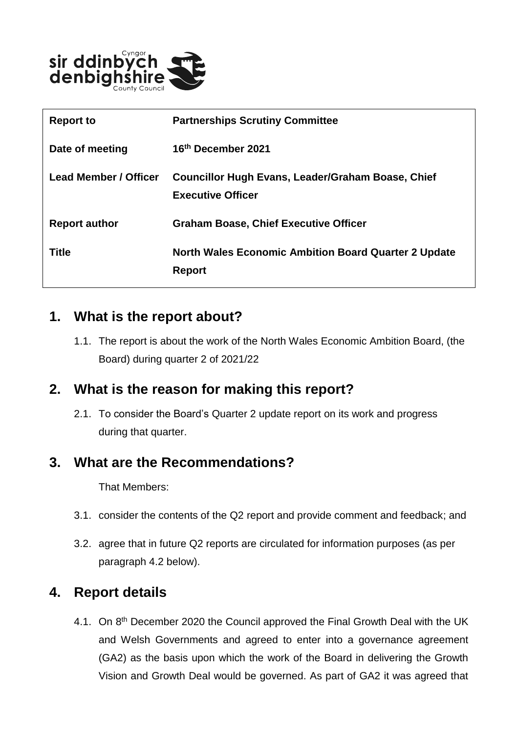

| <b>Report to</b>             | <b>Partnerships Scrutiny Committee</b>                                               |
|------------------------------|--------------------------------------------------------------------------------------|
| Date of meeting              | 16th December 2021                                                                   |
| <b>Lead Member / Officer</b> | <b>Councillor Hugh Evans, Leader/Graham Boase, Chief</b><br><b>Executive Officer</b> |
| <b>Report author</b>         | <b>Graham Boase, Chief Executive Officer</b>                                         |
| <b>Title</b>                 | <b>North Wales Economic Ambition Board Quarter 2 Update</b><br><b>Report</b>         |

#### **1. What is the report about?**

1.1. The report is about the work of the North Wales Economic Ambition Board, (the Board) during quarter 2 of 2021/22

## **2. What is the reason for making this report?**

2.1. To consider the Board's Quarter 2 update report on its work and progress during that quarter.

## **3. What are the Recommendations?**

That Members:

- 3.1. consider the contents of the Q2 report and provide comment and feedback; and
- 3.2. agree that in future Q2 reports are circulated for information purposes (as per paragraph 4.2 below).

# **4. Report details**

4.1. On 8<sup>th</sup> December 2020 the Council approved the Final Growth Deal with the UK and Welsh Governments and agreed to enter into a governance agreement (GA2) as the basis upon which the work of the Board in delivering the Growth Vision and Growth Deal would be governed. As part of GA2 it was agreed that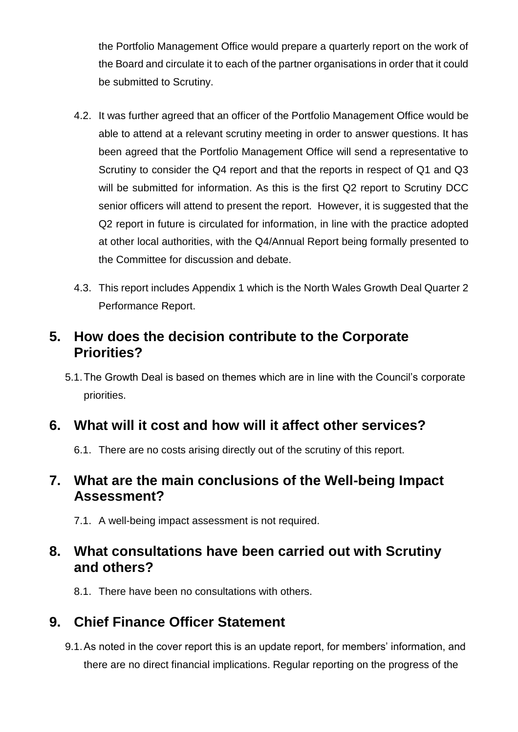the Portfolio Management Office would prepare a quarterly report on the work of the Board and circulate it to each of the partner organisations in order that it could be submitted to Scrutiny.

- 4.2. It was further agreed that an officer of the Portfolio Management Office would be able to attend at a relevant scrutiny meeting in order to answer questions. It has been agreed that the Portfolio Management Office will send a representative to Scrutiny to consider the Q4 report and that the reports in respect of Q1 and Q3 will be submitted for information. As this is the first Q2 report to Scrutiny DCC senior officers will attend to present the report. However, it is suggested that the Q2 report in future is circulated for information, in line with the practice adopted at other local authorities, with the Q4/Annual Report being formally presented to the Committee for discussion and debate.
- 4.3. This report includes Appendix 1 which is the North Wales Growth Deal Quarter 2 Performance Report.

## **5. How does the decision contribute to the Corporate Priorities?**

5.1.The Growth Deal is based on themes which are in line with the Council's corporate priorities.

## **6. What will it cost and how will it affect other services?**

6.1. There are no costs arising directly out of the scrutiny of this report.

## **7. What are the main conclusions of the Well-being Impact Assessment?**

7.1. A well-being impact assessment is not required.

## **8. What consultations have been carried out with Scrutiny and others?**

8.1. There have been no consultations with others.

# **9. Chief Finance Officer Statement**

9.1.As noted in the cover report this is an update report, for members' information, and there are no direct financial implications. Regular reporting on the progress of the